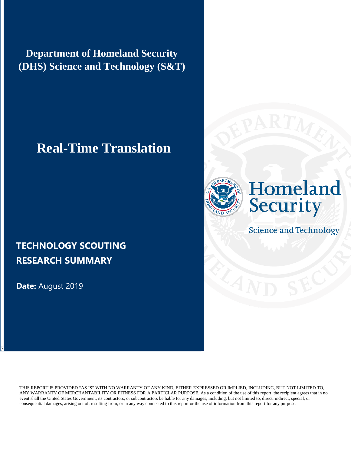**Department of Homeland Security (DHS) Science and Technology (S&T)**

# **Real-Time Translation**

### **TECHNOLOGY SCOUTING RESEARCH SUMMARY**

**Date:** August 2019

7



# Homeland **Security**

**Science and Technology** 

THIS REPORT IS PROVIDED "AS IS" WITH NO WARRANTY OF ANY KIND, EITHER EXPRESSED OR IMPLIED, INCLUDING, BUT NOT LIMITED TO, ANY WARRANTY OF MERCHANTABILITY OR FITNESS FOR A PARTICLAR PURPOSE. As a condition of the use of this report, the recipient agrees that in no event shall the United States Government, its contractors, or subcontractors be liable for any damages, including, but not limited to, direct, indirect, special, or consequential damages, arising out of, resulting from, or in any way connected to this report or the use of information from this report for any purpose.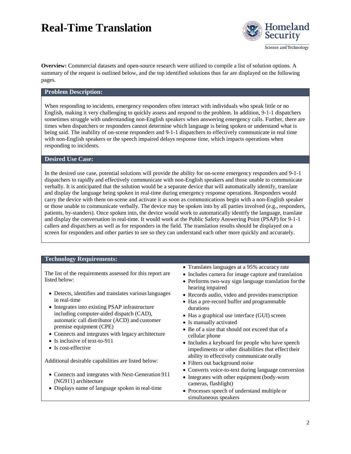

Science and Technology

**Overview:** Commercial datasets and open-source research were utilized to compile a list of solution options. A summary of the request is outlined below, and the top identified solutions thus far are displayed on the following pages.

#### **Problem Description:**

When responding to incidents, emergency responders often interact with individuals who speak little or no English, making it very challenging to quickly assess and respond to the problem. In addition, 9-1-1 dispatchers sometimes struggle with understanding non-English speakers when answering emergency calls. Further, there are times when dispatchers or responders cannot determine which language is being spoken or understand what is being said. The inability of on-scene responders and 9-1-1 dispatchers to effectively communicate in real time with non-English speakers or the speech impaired delays response time, which impacts operations when responding to incidents.

#### **Desired Use Case:**

In the desired use case, potential solutions will provide the ability for on-scene emergency responders and 9-1-1 dispatchers to rapidly and effectively communicate with non-English speakers and those unable to communicate verbally. It is anticipated that the solution would be a separate device that will automatically identify, translate and display the language being spoken in real-time during emergency response operations. Responders would carry the device with them on-scene and activate it as soon as communications begin with a non-English speaker or those unable to communicate verbally. The device may be spoken into by all parties involved (e.g., responders, patients, by-standers). Once spoken into, the device would work to automatically identify the language, translate and display the conversation in real-time. It would work at the Public Safety Answering Point (PSAP) for 9-1-1 callers and dispatchers as well as for responders in the field. The translation results should be displayed on a screen for responders and other parties to see so they can understand each other more quickly and accurately.

#### **Technology Requirements:**

The list of the requirements assessed for this report are listed below:

- Detects, identifies and translates various languages in real-time
- Integrates into existing PSAP infrastructure including computer-aided dispatch (CAD), automatic call distributor (ACD) and customer premise equipment (CPE)
- Connects and integrates with legacy architecture
- Is inclusive of text-to-911
- Is cost-effective

Additional desirable capabilities are listed below:

- Connects and integrates with Next-Generation 911 (NG911) architecture
- Displays name of language spoken in real-time
- Translates languages at a 95% accuracy rate
- Includes camera for image capture and translation
- Performs two-way sign language translation forthe hearing impaired
- Records audio, video and provides transcription
- Has a pre-record buffer and programmable durations
- Has a graphical use interface (GUI) screen
- Is manually activated
- Be of a size that should not exceed that of a cellular phone
- Includes a keyboard for people who have speech impediments or other disabilities that effect their ability to effectively communicate orally
- Filters out background noise
- Converts voice-to-text during language conversion
- Integrates with other equipment (body-worn cameras, flashlight)
- Processes speech of understand multiple or simultaneous speakers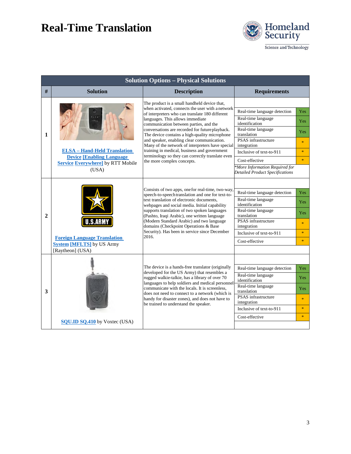

Science and Technology

| <b>Solution Options - Physical Solutions</b> |                                                                                                                              |                                                                                                                                                                                                                                                                                                                                                                                                                                                                                                                                                                           |                                                                                                                                                                                                                                                                           |                                                                       |
|----------------------------------------------|------------------------------------------------------------------------------------------------------------------------------|---------------------------------------------------------------------------------------------------------------------------------------------------------------------------------------------------------------------------------------------------------------------------------------------------------------------------------------------------------------------------------------------------------------------------------------------------------------------------------------------------------------------------------------------------------------------------|---------------------------------------------------------------------------------------------------------------------------------------------------------------------------------------------------------------------------------------------------------------------------|-----------------------------------------------------------------------|
| #                                            | <b>Solution</b>                                                                                                              | <b>Description</b>                                                                                                                                                                                                                                                                                                                                                                                                                                                                                                                                                        | <b>Requirements</b>                                                                                                                                                                                                                                                       |                                                                       |
| 1                                            | <b>ELSA - Hand-Held Translation</b><br><b>Device [Enabling Language]</b><br><b>Service Everywhere</b> by RTT Mobile<br>(USA) | The product is a small handheld device that,<br>when activated, connects the user with a network<br>of interpreters who can translate 180 different<br>languages. This allows immediate<br>communication between parties, and the<br>conversations are recorded for future playback.<br>The device contains a high-quality microphone<br>and speaker, enabling clear communication.<br>Many of the network of interpreters have special<br>training in medical, business and government<br>terminology so they can correctly translate even<br>the more complex concepts. | Real-time language detection<br>Real-time language<br>identification<br>Real-time language<br>translation<br>PSAS infrastructure<br>integration<br>Inclusive of text-to-911<br>Cost-effective<br>*More Information Required for<br><b>Detailed Product Specifications</b> | Yes<br>Yes:<br><b>Yes</b><br>$\ast$<br>$\frac{1}{2}$<br>$\frac{1}{2}$ |
| $\mathbf{2}$                                 | <b>S.ARN</b><br><b>Foreign Language Translation</b><br><b>System [MFLTS]</b> by US Army<br>[Raytheon] (USA)                  | Consists of two apps, one for real-time, two-way,<br>speech-to-speech translation and one for text-to-<br>text translation of electronic documents,<br>webpages and social media. Initial capability<br>supports translation of two spoken languages<br>(Pashto, Iraqi Arabic), one written language<br>(Modern Standard Arabic) and two language<br>domains (Checkpoint Operations & Base<br>Security). Has been in service since December<br>2016.                                                                                                                      | Real-time language detection<br>Real-time language<br>identification<br>Real-time language<br>translation<br>PSAS infrastructure<br>integration<br>Inclusive of text-to-911<br>Cost-effective                                                                             | Yes:<br>Yes<br><b>Yes</b><br>$\frac{1}{2}$<br>$\star$<br>$\mathbf{R}$ |
| 3                                            | <b>SQU.ID SQ.410</b> by Voxtec (USA)                                                                                         | The device is a hands-free translator (originally<br>developed for the US Army) that resembles a<br>rugged walkie-talkie, has a library of over 70<br>languages to help soldiers and medical personnel<br>communicate with the locals. It is screenless,<br>does not need to connect to a network (which is<br>handy for disaster zones), and does not have to<br>be trained to understand the speaker.                                                                                                                                                                   | Real-time language detection<br>Real-time language<br>identification<br>Real-time language<br>translation<br>PSAS infrastructure<br>integration<br>Inclusive of text-to-911<br>Cost-effective                                                                             | Yes:<br>Yes:<br>Yes:<br>$\ast$<br>$\frac{1}{2}$<br>$\frac{1}{2}$      |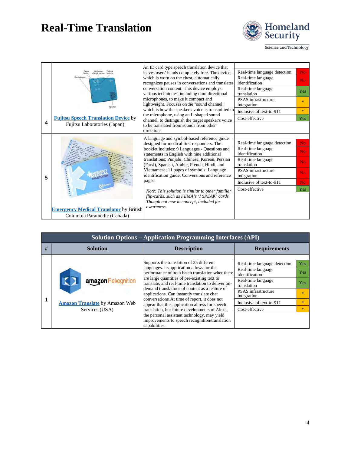

Science and Technology

|   |                                                                             | An ID card type speech translation device that                                                                                                                                    |                                      |                |
|---|-----------------------------------------------------------------------------|-----------------------------------------------------------------------------------------------------------------------------------------------------------------------------------|--------------------------------------|----------------|
|   |                                                                             | leaves users' hands completely free. The device,                                                                                                                                  | Real-time language detection         | No.            |
|   | Microphanes                                                                 | which is worn on the chest, automatically<br>recognizes pauses in conversations and translates                                                                                    | Real-time language<br>identification | N <sub>o</sub> |
|   |                                                                             | conversation content. This device employs<br>various techniques, including omnidirectional<br>microphones, to make it compact and<br>lightweight. Focuses on the "sound channel," | Real-time language<br>translation    | Yes            |
|   |                                                                             |                                                                                                                                                                                   | PSAS infrastructure<br>integration   | $\star$        |
|   |                                                                             | which is how the speaker's voice is transmitted to<br>the microphone, using an L-shaped sound                                                                                     | Inclusive of text-to-911             | $\frac{1}{2}$  |
|   | <b>Fujitsu Speech Translation Device by</b><br>Fujitsu Laboratories (Japan) | channel, to distinguish the target speaker's voice                                                                                                                                | Cost-effective                       | Yes            |
| 4 |                                                                             | to be translated from sounds from other<br>directions.                                                                                                                            |                                      |                |
|   |                                                                             | A language and symbol-based reference guide                                                                                                                                       |                                      |                |
| 5 |                                                                             | designed for medical first responders. The                                                                                                                                        | Real-time language detection         | No.            |
|   |                                                                             | booklet includes: 9 Languages - Questions and<br>statements in English with nine additional                                                                                       | Real-time language<br>identification | N <sub>o</sub> |
|   |                                                                             | translations: Punjabi, Chinese, Korean, Persian<br>(Farsi), Spanish, Arabic, French, Hindi, and                                                                                   | Real-time language<br>translation    | No.            |
|   |                                                                             | Vietnamese; 11 pages of symbols; Language<br><b>PSAS</b> infrastructure<br>identification guide; Conversions and reference<br>integration                                         |                                      | N <sub>o</sub> |
|   |                                                                             | pages.                                                                                                                                                                            | Inclusive of text-to-911             | No.            |
|   |                                                                             | Note: This solution is similar to other familiar                                                                                                                                  | Cost-effective                       | Yes            |
|   |                                                                             | flip-cards, such as FEMA's 'I SPEAK' cards.<br>Though not new in concept, included for                                                                                            |                                      |                |
|   | <b>Emergency Medical Translator</b> by British                              | awareness.                                                                                                                                                                        |                                      |                |
|   | Columbia Paramedic (Canada)                                                 |                                                                                                                                                                                   |                                      |                |

| <b>Solution Options – Application Programming Interfaces (API)</b> |                                                                               |                                                                                                                                                                                                                                                                                                                                                                                                                                                                                                                                                                                                                          |                                                                                                                                                                                                      |                                                                           |
|--------------------------------------------------------------------|-------------------------------------------------------------------------------|--------------------------------------------------------------------------------------------------------------------------------------------------------------------------------------------------------------------------------------------------------------------------------------------------------------------------------------------------------------------------------------------------------------------------------------------------------------------------------------------------------------------------------------------------------------------------------------------------------------------------|------------------------------------------------------------------------------------------------------------------------------------------------------------------------------------------------------|---------------------------------------------------------------------------|
| #                                                                  | <b>Solution</b>                                                               | <b>Description</b>                                                                                                                                                                                                                                                                                                                                                                                                                                                                                                                                                                                                       | <b>Requirements</b>                                                                                                                                                                                  |                                                                           |
|                                                                    | amazon Rekognition<br><b>Amazon Translate</b> by Amazon Web<br>Services (USA) | Supports the translation of 25 different<br>languages. Its application allows for the<br>performance of both batch translation when there<br>are large quantities of pre-existing text to<br>translate, and real-time translation to deliver on-<br>demand translations of content as a feature of<br>applications. Can instantly translate chat<br>conversations. At time of report, it does not<br>appear that this application allows for speech<br>translation, but future developments of Alexa,<br>the personal assistant technology, may yield<br>improvements to speech recognition/translation<br>capabilities. | Real-time language detection<br>Real-time language<br>identification<br>Real-time language<br>translation<br><b>PSAS</b> infrastructure<br>integration<br>Inclusive of text-to-911<br>Cost-effective | <b>Yes</b><br><b>Yes</b><br><b>Yes</b><br>$\mathbf{R}$<br>$\gg$<br>$\ast$ |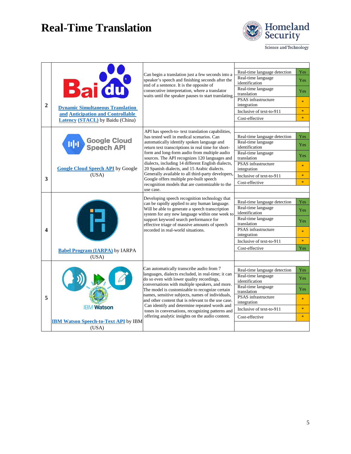

Science and Technology

|                | <b>Bai du</b><br><b>Dynamic Simultaneous Translation</b><br>and Anticipation and Controllable | Can begin a translation just a few seconds into a                                                                                                                                                                                                                                                                                    | Real-time language detection              | <b>Yes</b>   |
|----------------|-----------------------------------------------------------------------------------------------|--------------------------------------------------------------------------------------------------------------------------------------------------------------------------------------------------------------------------------------------------------------------------------------------------------------------------------------|-------------------------------------------|--------------|
|                |                                                                                               | speaker's speech and finishing seconds after the<br>end of a sentence. It is the opposite of<br>consecutive interpretation, where a translator<br>waits until the speaker pauses to start translating.                                                                                                                               | Real-time language<br>identification      | <b>Yes</b>   |
|                |                                                                                               |                                                                                                                                                                                                                                                                                                                                      | Real-time language<br>translation         | Yes          |
| $\overline{2}$ |                                                                                               |                                                                                                                                                                                                                                                                                                                                      | <b>PSAS</b> infrastructure<br>integration | $\star$      |
|                |                                                                                               |                                                                                                                                                                                                                                                                                                                                      | Inclusive of text-to-911                  | $\ast$       |
|                |                                                                                               |                                                                                                                                                                                                                                                                                                                                      | Cost-effective                            | $\star$      |
|                | <b>Latency (STACL)</b> by Baidu (China)                                                       |                                                                                                                                                                                                                                                                                                                                      |                                           |              |
|                |                                                                                               | API has speech-to- text translation capabilities,                                                                                                                                                                                                                                                                                    |                                           |              |
|                |                                                                                               | has tested well in medical scenarios. Can                                                                                                                                                                                                                                                                                            | Real-time language detection              | Yes          |
|                | <b>Google Cloud</b><br>nh<br><b>Speech API</b>                                                | automatically identify spoken language and<br>return text transcriptions in real time for short-                                                                                                                                                                                                                                     | Real-time language<br>identification      | <b>Yes</b>   |
|                |                                                                                               | form and long-form audio from multiple audio<br>sources. The API recognizes 120 languages and                                                                                                                                                                                                                                        | Real-time language<br>translation         | <b>Yes</b>   |
|                | <b>Google Cloud Speech API</b> by Google                                                      | dialects, including 14 different English dialects,<br>20 Spanish dialects, and 15 Arabic dialects.                                                                                                                                                                                                                                   | <b>PSAS</b> infrastructure<br>integration | $\mathbf{R}$ |
|                | (USA)                                                                                         | Generally available to all third-party developers,<br>Google offers multiple pre-built speech                                                                                                                                                                                                                                        | Inclusive of text-to-911                  | $\star$      |
| 3              |                                                                                               |                                                                                                                                                                                                                                                                                                                                      | Cost-effective                            | $\star$      |
|                |                                                                                               | recognition models that are customizable to the<br>use case.                                                                                                                                                                                                                                                                         |                                           |              |
|                |                                                                                               |                                                                                                                                                                                                                                                                                                                                      |                                           |              |
|                | <b>Babel Program (IARPA)</b> by IARPA                                                         | Developing speech recognition technology that<br>can be rapidly applied to any human language.<br>Will be able to generate a speech transcription<br>system for any new language within one week to<br>support keyword search performance for<br>effective triage of massive amounts of speech<br>recorded in real-world situations. | Real-time language detection              | <b>Yes</b>   |
|                |                                                                                               |                                                                                                                                                                                                                                                                                                                                      | Real-time language                        |              |
|                |                                                                                               |                                                                                                                                                                                                                                                                                                                                      | identification                            | Yes          |
|                |                                                                                               |                                                                                                                                                                                                                                                                                                                                      | Real-time language                        | Yes          |
|                |                                                                                               |                                                                                                                                                                                                                                                                                                                                      | translation                               |              |
| 4              |                                                                                               |                                                                                                                                                                                                                                                                                                                                      | <b>PSAS</b> infrastructure<br>integration | $\mathbf{R}$ |
|                |                                                                                               |                                                                                                                                                                                                                                                                                                                                      | Inclusive of text-to-911                  | $\star$      |
|                |                                                                                               |                                                                                                                                                                                                                                                                                                                                      |                                           |              |
|                |                                                                                               |                                                                                                                                                                                                                                                                                                                                      | Cost-effective                            | Yes          |
|                | (USA)                                                                                         |                                                                                                                                                                                                                                                                                                                                      |                                           |              |
|                |                                                                                               |                                                                                                                                                                                                                                                                                                                                      |                                           |              |
|                | <b>IBM Watson</b>                                                                             | Can automatically transcribe audio from 7                                                                                                                                                                                                                                                                                            | Real-time language detection              | <b>Yes</b>   |
|                |                                                                                               | languages, dialects excluded, in real-time; it can<br>do so even with lower quality recordings,                                                                                                                                                                                                                                      | Real-time language                        | <b>Yes</b>   |
|                |                                                                                               | conversations with multiple speakers, and more.                                                                                                                                                                                                                                                                                      | identification<br>Real-time language      |              |
|                |                                                                                               | The model is customizable to recognize certain<br>names, sensitive subjects, names of individuals,                                                                                                                                                                                                                                   | translation                               | <b>Yes</b>   |
| 5              |                                                                                               |                                                                                                                                                                                                                                                                                                                                      | PSAS infrastructure                       | $\ast$       |
|                |                                                                                               | and other content that is relevant to the use case.<br>Can identify and determine repeated words and                                                                                                                                                                                                                                 | integration                               |              |
|                |                                                                                               | tones in conversations, recognizing patterns and                                                                                                                                                                                                                                                                                     | Inclusive of text-to-911                  | $\star$      |
|                |                                                                                               | offering analytic insights on the audio content.                                                                                                                                                                                                                                                                                     | Cost-effective                            | $\star$      |
|                | <b>IBM Watson Speech-to-Text API</b> by IBM                                                   |                                                                                                                                                                                                                                                                                                                                      |                                           |              |
|                | (USA)                                                                                         |                                                                                                                                                                                                                                                                                                                                      |                                           |              |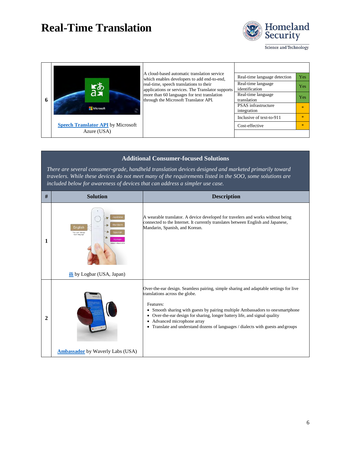

Science and Technology

| 6 | 磁<br>Microsoft                            | A cloud-based automatic translation service<br>which enables developers to add end-to-end,   | Real-time language detection         | <b>Yes</b>   |
|---|-------------------------------------------|----------------------------------------------------------------------------------------------|--------------------------------------|--------------|
|   |                                           | real-time, speech translations to their<br>applications or services. The Translator supports | Real-time language<br>identification | <b>Yes</b>   |
|   |                                           | more than 60 languages for text translation<br>through the Microsoft Translator API.         | Real-time language<br>translation    | <b>Yes</b>   |
|   |                                           |                                                                                              | PSAS infrastructure<br>integration   |              |
|   |                                           |                                                                                              | Inclusive of text-to-911             | sk.          |
|   | <b>Speech Translator API</b> by Microsoft |                                                                                              | Cost-effective                       | $\mathbf{R}$ |
|   | Azure (USA)                               |                                                                                              |                                      |              |

#### **Additional Consumer-focused Solutions**

*There are several consumer-grade, handheld translation devices designed and marketed primarily toward travelers. While these devices do not meet many of the requirements listed in the SOO, some solutions are included below for awareness of devices that can address a simpler use case.*

| #            | <b>Solution</b>                                                                                                         | <b>Description</b>                                                                                                                                                                                                                                                                                                                                                                                                                  |
|--------------|-------------------------------------------------------------------------------------------------------------------------|-------------------------------------------------------------------------------------------------------------------------------------------------------------------------------------------------------------------------------------------------------------------------------------------------------------------------------------------------------------------------------------------------------------------------------------|
| 1            | Japanes<br>English<br>fou can't change<br>input language<br>Korean<br>Added in March 2019<br>ili by Logbar (USA, Japan) | A wearable translator. A device developed for travelers and works without being<br>connected to the Internet. It currently translates between English and Japanese,<br>Mandarin, Spanish, and Korean.                                                                                                                                                                                                                               |
| $\mathbf{2}$ | <b>Ambassador</b> by Waverly Labs (USA)                                                                                 | Over-the-ear design. Seamless pairing, simple sharing and adaptable settings for live<br>translations across the globe.<br>Features:<br>Smooth sharing with guests by pairing multiple Ambassadors to one smartphone<br>٠<br>Over-the-ear design for sharing, longer battery life, and signal quality<br>٠<br>Advanced microphone array<br>٠<br>Translate and understand dozens of languages / dialects with guests and groups<br>٠ |